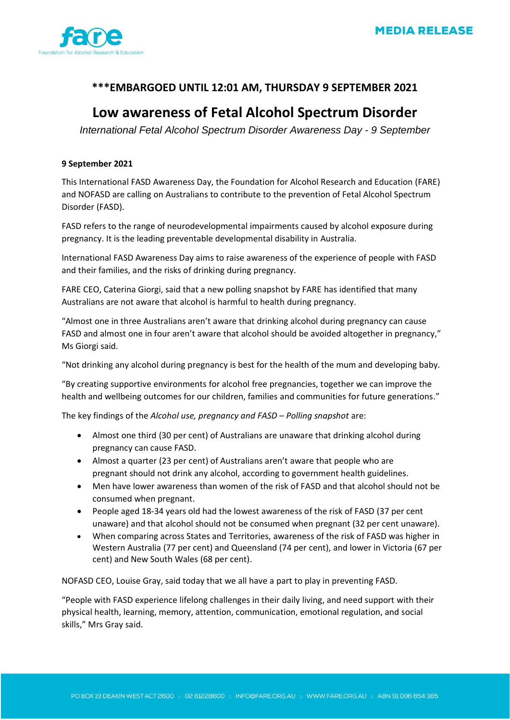

## **\*\*\*EMBARGOED UNTIL 12:01 AM, THURSDAY 9 SEPTEMBER 2021**

# **Low awareness of Fetal Alcohol Spectrum Disorder**

*International Fetal Alcohol Spectrum Disorder Awareness Day - 9 September*

## **9 September 2021**

This International FASD Awareness Day, the Foundation for Alcohol Research and Education (FARE) and NOFASD are calling on Australians to contribute to the prevention of Fetal Alcohol Spectrum Disorder (FASD).

FASD refers to the range of neurodevelopmental impairments caused by alcohol exposure during pregnancy. It is the leading preventable developmental disability in Australia.

International FASD Awareness Day aims to raise awareness of the experience of people with FASD and their families, and the risks of drinking during pregnancy.

FARE CEO, Caterina Giorgi, said that a new polling snapshot by FARE has identified that many Australians are not aware that alcohol is harmful to health during pregnancy.

"Almost one in three Australians aren't aware that drinking alcohol during pregnancy can cause FASD and almost one in four aren't aware that alcohol should be avoided altogether in pregnancy," Ms Giorgi said.

"Not drinking any alcohol during pregnancy is best for the health of the mum and developing baby.

"By creating supportive environments for alcohol free pregnancies, together we can improve the health and wellbeing outcomes for our children, families and communities for future generations."

The key findings of the *Alcohol use, pregnancy and FASD – Polling snapshot* are:

- Almost one third (30 per cent) of Australians are unaware that drinking alcohol during pregnancy can cause FASD.
- Almost a quarter (23 per cent) of Australians aren't aware that people who are pregnant should not drink any alcohol, according to government health guidelines.
- Men have lower awareness than women of the risk of FASD and that alcohol should not be consumed when pregnant.
- People aged 18-34 years old had the lowest awareness of the risk of FASD (37 per cent unaware) and that alcohol should not be consumed when pregnant (32 per cent unaware).
- When comparing across States and Territories, awareness of the risk of FASD was higher in Western Australia (77 per cent) and Queensland (74 per cent), and lower in Victoria (67 per cent) and New South Wales (68 per cent).

NOFASD CEO, Louise Gray, said today that we all have a part to play in preventing FASD.

"People with FASD experience lifelong challenges in their daily living, and need support with their physical health, learning, memory, attention, communication, emotional regulation, and social skills," Mrs Gray said.